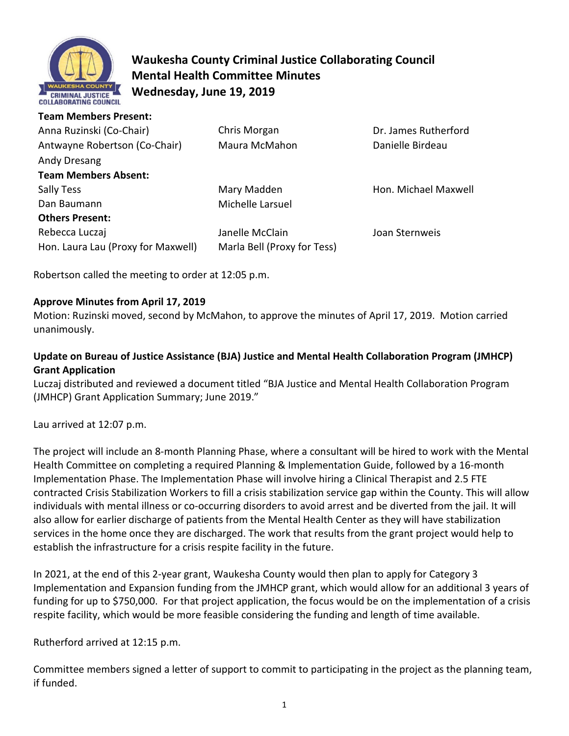

# **Waukesha County Criminal Justice Collaborating Council Mental Health Committee Minutes Wednesday, June 19, 2019**

#### **Team Members Present:**

| Anna Ruzinski (Co-Chair)           | Chris Morgan                | Dr. James Rutherford |
|------------------------------------|-----------------------------|----------------------|
| Antwayne Robertson (Co-Chair)      | Maura McMahon               | Danielle Birdeau     |
| Andy Dresang                       |                             |                      |
| <b>Team Members Absent:</b>        |                             |                      |
| Sally Tess                         | Mary Madden                 | Hon. Michael Maxwell |
| Dan Baumann                        | Michelle Larsuel            |                      |
| <b>Others Present:</b>             |                             |                      |
| Rebecca Luczaj                     | Janelle McClain             | Joan Sternweis       |
| Hon. Laura Lau (Proxy for Maxwell) | Marla Bell (Proxy for Tess) |                      |

Robertson called the meeting to order at 12:05 p.m.

## **Approve Minutes from April 17, 2019**

Motion: Ruzinski moved, second by McMahon, to approve the minutes of April 17, 2019. Motion carried unanimously.

# **Update on Bureau of Justice Assistance (BJA) Justice and Mental Health Collaboration Program (JMHCP) Grant Application**

Luczaj distributed and reviewed a document titled "BJA Justice and Mental Health Collaboration Program (JMHCP) Grant Application Summary; June 2019."

Lau arrived at 12:07 p.m.

The project will include an 8-month Planning Phase, where a consultant will be hired to work with the Mental Health Committee on completing a required Planning & Implementation Guide, followed by a 16-month Implementation Phase. The Implementation Phase will involve hiring a Clinical Therapist and 2.5 FTE contracted Crisis Stabilization Workers to fill a crisis stabilization service gap within the County. This will allow individuals with mental illness or co-occurring disorders to avoid arrest and be diverted from the jail. It will also allow for earlier discharge of patients from the Mental Health Center as they will have stabilization services in the home once they are discharged. The work that results from the grant project would help to establish the infrastructure for a crisis respite facility in the future.

In 2021, at the end of this 2-year grant, Waukesha County would then plan to apply for Category 3 Implementation and Expansion funding from the JMHCP grant, which would allow for an additional 3 years of funding for up to \$750,000. For that project application, the focus would be on the implementation of a crisis respite facility, which would be more feasible considering the funding and length of time available.

Rutherford arrived at 12:15 p.m.

Committee members signed a letter of support to commit to participating in the project as the planning team, if funded.